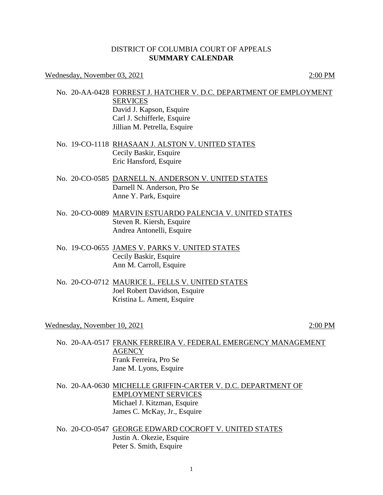## DISTRICT OF COLUMBIA COURT OF APPEALS **SUMMARY CALENDAR**

Wednesday, November 03, 2021 2:00 PM

- No. 20-AA-0428 FORREST J. HATCHER V. D.C. DEPARTMENT OF EMPLOYMENT SERVICES David J. Kapson, Esquire Carl J. Schifferle, Esquire Jillian M. Petrella, Esquire
- No. 19-CO-1118 RHASAAN J. ALSTON V. UNITED STATES Cecily Baskir, Esquire Eric Hansford, Esquire
- No. 20-CO-0585 DARNELL N. ANDERSON V. UNITED STATES Darnell N. Anderson, Pro Se Anne Y. Park, Esquire
- No. 20-CO-0089 MARVIN ESTUARDO PALENCIA V. UNITED STATES Steven R. Kiersh, Esquire Andrea Antonelli, Esquire
- No. 19-CO-0655 JAMES V. PARKS V. UNITED STATES Cecily Baskir, Esquire Ann M. Carroll, Esquire
- No. 20-CO-0712 MAURICE L. FELLS V. UNITED STATES Joel Robert Davidson, Esquire Kristina L. Ament, Esquire

Wednesday, November 10, 2021 2:00 PM

- No. 20-AA-0517 FRANK FERREIRA V. FEDERAL EMERGENCY MANAGEMENT **AGENCY** Frank Ferreira, Pro Se Jane M. Lyons, Esquire
- No. 20-AA-0630 MICHELLE GRIFFIN-CARTER V. D.C. DEPARTMENT OF EMPLOYMENT SERVICES Michael J. Kitzman, Esquire James C. McKay, Jr., Esquire
- No. 20-CO-0547 GEORGE EDWARD COCROFT V. UNITED STATES Justin A. Okezie, Esquire Peter S. Smith, Esquire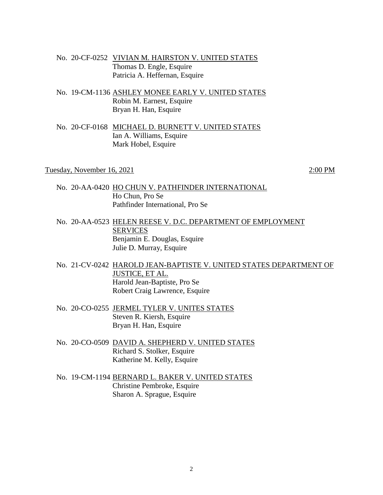- No. 20-CF-0252 VIVIAN M. HAIRSTON V. UNITED STATES Thomas D. Engle, Esquire Patricia A. Heffernan, Esquire
- No. 19-CM-1136 ASHLEY MONEE EARLY V. UNITED STATES Robin M. Earnest, Esquire Bryan H. Han, Esquire
- No. 20-CF-0168 MICHAEL D. BURNETT V. UNITED STATES Ian A. Williams, Esquire Mark Hobel, Esquire

Tuesday, November  $16, 2021$  2:00 PM

- No. 20-AA-0420 HO CHUN V. PATHFINDER INTERNATIONAL Ho Chun, Pro Se Pathfinder International, Pro Se
- No. 20-AA-0523 HELEN REESE V. D.C. DEPARTMENT OF EMPLOYMENT SERVICES Benjamin E. Douglas, Esquire Julie D. Murray, Esquire
- No. 21-CV-0242 HAROLD JEAN-BAPTISTE V. UNITED STATES DEPARTMENT OF JUSTICE, ET AL. Harold Jean-Baptiste, Pro Se Robert Craig Lawrence, Esquire
- No. 20-CO-0255 JERMEL TYLER V. UNITES STATES Steven R. Kiersh, Esquire Bryan H. Han, Esquire
- No. 20-CO-0509 DAVID A. SHEPHERD V. UNITED STATES Richard S. Stolker, Esquire Katherine M. Kelly, Esquire
- No. 19-CM-1194 BERNARD L. BAKER V. UNITED STATES Christine Pembroke, Esquire Sharon A. Sprague, Esquire